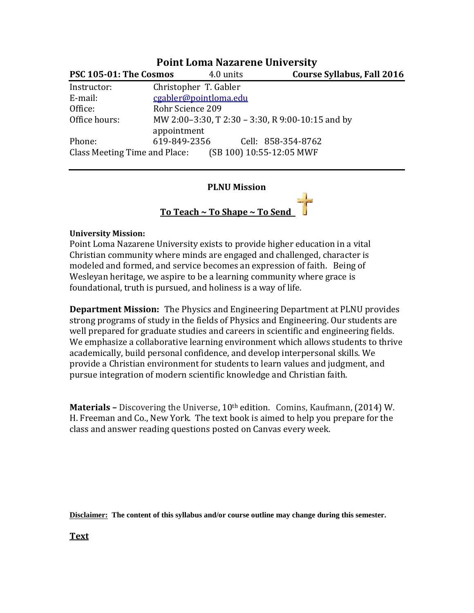| <b>Point Loma Nazarene University</b>                  |                       |           |                                                  |  |
|--------------------------------------------------------|-----------------------|-----------|--------------------------------------------------|--|
| PSC 105-01: The Cosmos                                 |                       | 4.0 units | <b>Course Syllabus, Fall 2016</b>                |  |
| Instructor:                                            | Christopher T. Gabler |           |                                                  |  |
| E-mail:                                                | cgabler@pointloma.edu |           |                                                  |  |
| Office:                                                | Rohr Science 209      |           |                                                  |  |
| Office hours:                                          |                       |           | MW 2:00-3:30, T 2:30 - 3:30, R 9:00-10:15 and by |  |
|                                                        | appointment           |           |                                                  |  |
| Phone:                                                 | 619-849-2356          |           | Cell: 858-354-8762                               |  |
| Class Meeting Time and Place: (SB 100) 10:55-12:05 MWF |                       |           |                                                  |  |

#### **PLNU Mission**

**To Teach ~ To Shape ~ To Send** 

#### **University Mission:**

Point Loma Nazarene University exists to provide higher education in a vital Christian community where minds are engaged and challenged, character is modeled and formed, and service becomes an expression of faith. Being of Wesleyan heritage, we aspire to be a learning community where grace is foundational, truth is pursued, and holiness is a way of life.

**Department Mission:** The Physics and Engineering Department at PLNU provides strong programs of study in the fields of Physics and Engineering. Our students are well prepared for graduate studies and careers in scientific and engineering fields. We emphasize a collaborative learning environment which allows students to thrive academically, build personal confidence, and develop interpersonal skills. We provide a Christian environment for students to learn values and judgment, and pursue integration of modern scientific knowledge and Christian faith.

**Materials –** Discovering the Universe, 10<sup>th</sup> edition. Comins, Kaufmann, (2014) W. H. Freeman and Co., New York. The text book is aimed to help you prepare for the class and answer reading questions posted on Canvas every week.

**Disclaimer: The content of this syllabus and/or course outline may change during this semester.**

**Text**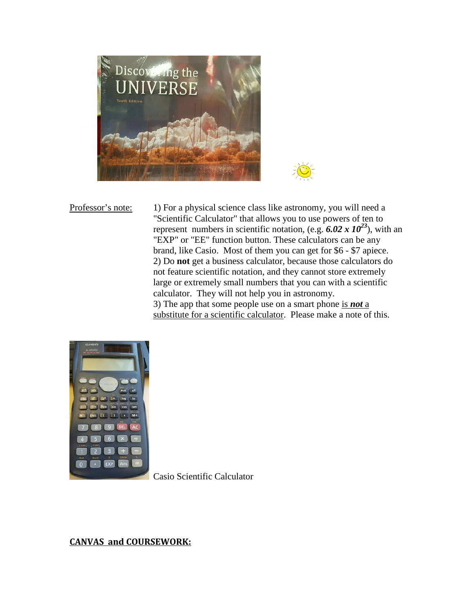

Professor's note: 1) For a physical science class like astronomy, you will need a "Scientific Calculator" that allows you to use powers of ten to represent numbers in scientific notation, (e.g.  $6.02 \times 10^{23}$ ), with an "EXP" or "EE" function button. These calculators can be any brand, like Casio. Most of them you can get for \$6 - \$7 apiece. 2) Do **not** get a business calculator, because those calculators do not feature scientific notation, and they cannot store extremely large or extremely small numbers that you can with a scientific calculator. They will not help you in astronomy. 3) The app that some people use on a smart phone is *not* a substitute for a scientific calculator. Please make a note of this.



Casio Scientific Calculator

**CANVAS and COURSEWORK:**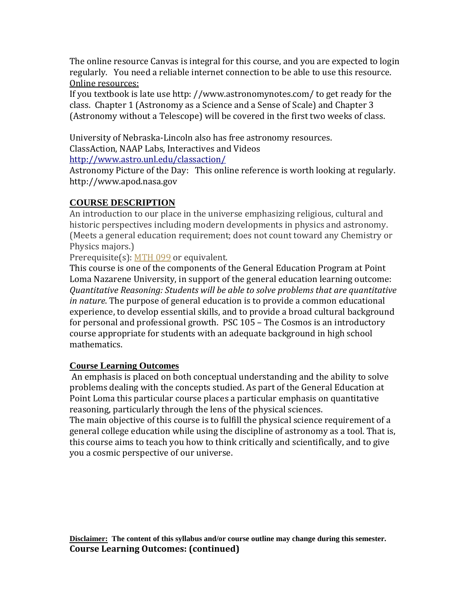The online resource Canvas is integral for this course, and you are expected to login regularly. You need a reliable internet connection to be able to use this resource. Online resources:

If you textbook is late use http: //www.astronomynotes.com/ to get ready for the class. Chapter 1 (Astronomy as a Science and a Sense of Scale) and Chapter 3 (Astronomy without a Telescope) will be covered in the first two weeks of class.

University of Nebraska-Lincoln also has free astronomy resources. ClassAction, NAAP Labs, Interactives and Videos

<http://www.astro.unl.edu/classaction/>

Astronomy Picture of the Day: This online reference is worth looking at regularly. http://www.apod.nasa.gov

# **COURSE DESCRIPTION**

An introduction to our place in the universe emphasizing religious, cultural and historic perspectives including modern developments in physics and astronomy. (Meets a general education requirement; does not count toward any Chemistry or Physics majors.)

Prerequisite(s): [MTH 099](http://catalog.pointloma.edu/content.php?filter%5B27%5D=PSC&filter%5B29%5D=105&filter%5Bcourse_type%5D=-1&filter%5Bkeyword%5D=&filter%5B32%5D=1&filter%5Bcpage%5D=1&cur_cat_oid=24&expand=&navoid=1590&search_database=Filter#tt9845) or equivalent.

This course is one of the components of the General Education Program at Point Loma Nazarene University, in support of the general education learning outcome: *Quantitative Reasoning: Students will be able to solve problems that are quantitative in nature*. The purpose of general education is to provide a common educational experience, to develop essential skills, and to provide a broad cultural background for personal and professional growth. PSC 105 – The Cosmos is an introductory course appropriate for students with an adequate background in high school mathematics.

# **Course Learning Outcomes**

An emphasis is placed on both conceptual understanding and the ability to solve problems dealing with the concepts studied. As part of the General Education at Point Loma this particular course places a particular emphasis on quantitative reasoning, particularly through the lens of the physical sciences.

The main objective of this course is to fulfill the physical science requirement of a general college education while using the discipline of astronomy as a tool. That is, this course aims to teach you how to think critically and scientifically, and to give you a cosmic perspective of our universe.

**Disclaimer: The content of this syllabus and/or course outline may change during this semester. Course Learning Outcomes: (continued)**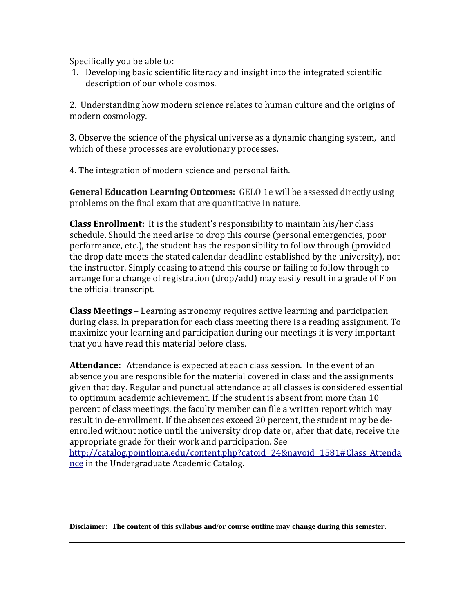Specifically you be able to:

1. Developing basic scientific literacy and insight into the integrated scientific description of our whole cosmos.

2. Understanding how modern science relates to human culture and the origins of modern cosmology.

3. Observe the science of the physical universe as a dynamic changing system, and which of these processes are evolutionary processes.

4. The integration of modern science and personal faith.

**General Education Learning Outcomes:** GELO 1e will be assessed directly using problems on the final exam that are quantitative in nature.

**Class Enrollment:** It is the student's responsibility to maintain his/her class schedule. Should the need arise to drop this course (personal emergencies, poor performance, etc.), the student has the responsibility to follow through (provided the drop date meets the stated calendar deadline established by the university), not the instructor. Simply ceasing to attend this course or failing to follow through to arrange for a change of registration (drop/add) may easily result in a grade of F on the official transcript.

**Class Meetings** – Learning astronomy requires active learning and participation during class. In preparation for each class meeting there is a reading assignment. To maximize your learning and participation during our meetings it is very important that you have read this material before class.

**Attendance:** Attendance is expected at each class session. In the event of an absence you are responsible for the material covered in class and the assignments given that day. Regular and punctual attendance at all classes is considered essential to optimum academic achievement. If the student is absent from more than 10 percent of class meetings, the faculty member can file a written report which may result in de-enrollment. If the absences exceed 20 percent, the student may be deenrolled without notice until the university drop date or, after that date, receive the appropriate grade for their work and participation. See [http://catalog.pointloma.edu/content.php?catoid=24&navoid=1581#Class\\_Attenda](http://catalog.pointloma.edu/content.php?catoid=24&navoid=1581#Class_Attendance)

[nce](http://catalog.pointloma.edu/content.php?catoid=24&navoid=1581#Class_Attendance) in the Undergraduate Academic Catalog.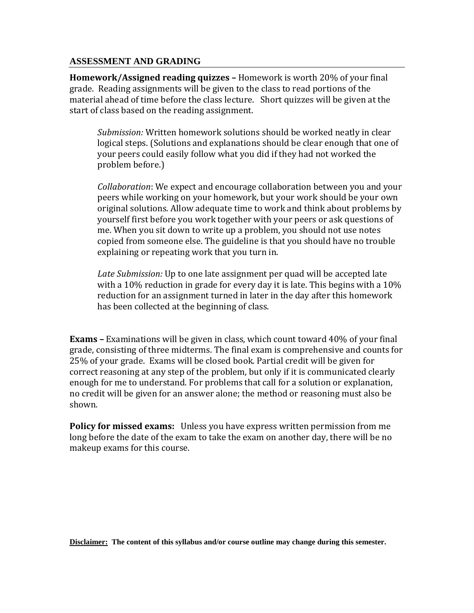#### **ASSESSMENT AND GRADING**

**Homework/Assigned reading quizzes –** Homework is worth 20% of your final grade. Reading assignments will be given to the class to read portions of the material ahead of time before the class lecture. Short quizzes will be given at the start of class based on the reading assignment.

*Submission:* Written homework solutions should be worked neatly in clear logical steps. (Solutions and explanations should be clear enough that one of your peers could easily follow what you did if they had not worked the problem before.)

*Collaboration*: We expect and encourage collaboration between you and your peers while working on your homework, but your work should be your own original solutions. Allow adequate time to work and think about problems by yourself first before you work together with your peers or ask questions of me. When you sit down to write up a problem, you should not use notes copied from someone else. The guideline is that you should have no trouble explaining or repeating work that you turn in.

*Late Submission:* Up to one late assignment per quad will be accepted late with a 10% reduction in grade for every day it is late. This begins with a 10% reduction for an assignment turned in later in the day after this homework has been collected at the beginning of class.

**Exams –** Examinations will be given in class, which count toward 40% of your final grade, consisting of three midterms. The final exam is comprehensive and counts for 25% of your grade. Exams will be closed book. Partial credit will be given for correct reasoning at any step of the problem, but only if it is communicated clearly enough for me to understand. For problems that call for a solution or explanation, no credit will be given for an answer alone; the method or reasoning must also be shown.

**Policy for missed exams:** Unless you have express written permission from me long before the date of the exam to take the exam on another day, there will be no makeup exams for this course.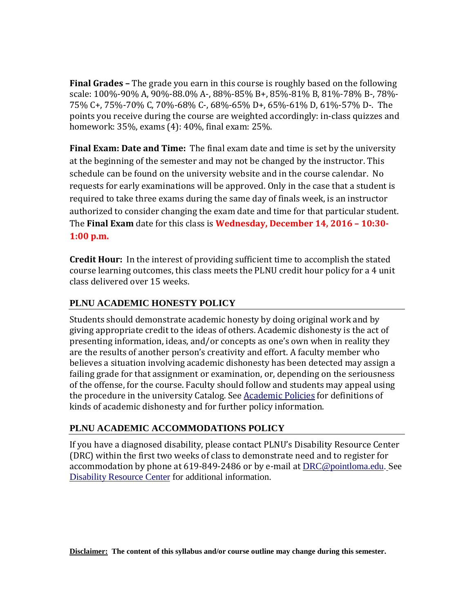**Final Grades –** The grade you earn in this course is roughly based on the following scale: 100%-90% A, 90%-88.0% A-, 88%-85% B+, 85%-81% B, 81%-78% B-, 78%- 75% C+, 75%-70% C, 70%-68% C-, 68%-65% D+, 65%-61% D, 61%-57% D-. The points you receive during the course are weighted accordingly: in-class quizzes and homework: 35%, exams (4): 40%, final exam: 25%.

**Final Exam: Date and Time:** The final exam date and time is set by the university at the beginning of the semester and may not be changed by the instructor. This schedule can be found on the university website and in the course calendar. No requests for early examinations will be approved. Only in the case that a student is required to take three exams during the same day of finals week, is an instructor authorized to consider changing the exam date and time for that particular student. The **Final Exam** date for this class is **Wednesday, December 14, 2016 – 10:30- 1:00 p.m.**

**Credit Hour:** In the interest of providing sufficient time to accomplish the stated course learning outcomes, this class meets the PLNU credit hour policy for a 4 unit class delivered over 15 weeks.

## **PLNU ACADEMIC HONESTY POLICY**

Students should demonstrate academic honesty by doing original work and by giving appropriate credit to the ideas of others. Academic dishonesty is the act of presenting information, ideas, and/or concepts as one's own when in reality they are the results of another person's creativity and effort. A faculty member who believes a situation involving academic dishonesty has been detected may assign a failing grade for that assignment or examination, or, depending on the seriousness of the offense, for the course. Faculty should follow and students may appeal using the procedure in the university Catalog. See [Academic Policies](http://catalog.pointloma.edu/content.php?catoid=18&navoid=1278) for definitions of kinds of academic dishonesty and for further policy information.

# **PLNU ACADEMIC ACCOMMODATIONS POLICY**

If you have a diagnosed disability, please contact PLNU's Disability Resource Center (DRC) within the first two weeks of class to demonstrate need and to register for accommodation by phone at 619-849-2486 or by e-mail at [DRC@pointloma.edu.](mailto:DRC@pointloma.edu) See [Disability Resource Center](http://www.pointloma.edu/experience/offices/administrative-offices/academic-advising-office/disability-resource-center) for additional information.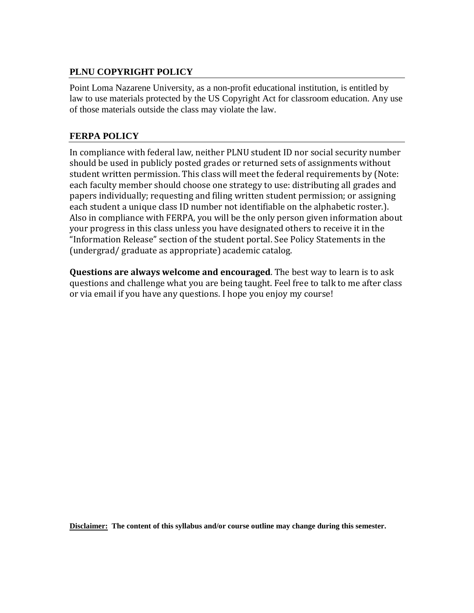## **PLNU COPYRIGHT POLICY**

Point Loma Nazarene University, as a non-profit educational institution, is entitled by law to use materials protected by the US Copyright Act for classroom education. Any use of those materials outside the class may violate the law.

### **FERPA POLICY**

In compliance with federal law, neither PLNU student ID nor social security number should be used in publicly posted grades or returned sets of assignments without student written permission. This class will meet the federal requirements by (Note: each faculty member should choose one strategy to use: distributing all grades and papers individually; requesting and filing written student permission; or assigning each student a unique class ID number not identifiable on the alphabetic roster.). Also in compliance with FERPA, you will be the only person given information about your progress in this class unless you have designated others to receive it in the "Information Release" section of the student portal. See Policy Statements in the (undergrad/ graduate as appropriate) academic catalog.

**Questions are always welcome and encouraged**. The best way to learn is to ask questions and challenge what you are being taught. Feel free to talk to me after class or via email if you have any questions. I hope you enjoy my course!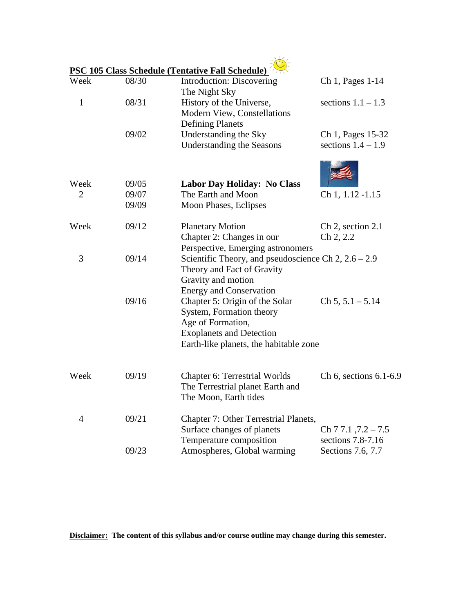| Week           | 08/30 | PSC 105 Class Schedule (Tentative Fall Schedule)<br>Introduction: Discovering | Ch 1, Pages 1-14         |
|----------------|-------|-------------------------------------------------------------------------------|--------------------------|
|                |       | The Night Sky                                                                 |                          |
| $\mathbf{1}$   | 08/31 | History of the Universe,                                                      | sections $1.1 - 1.3$     |
|                |       | Modern View, Constellations                                                   |                          |
|                |       | <b>Defining Planets</b>                                                       |                          |
|                | 09/02 | Understanding the Sky                                                         | Ch 1, Pages 15-32        |
|                |       | <b>Understanding the Seasons</b>                                              | sections $1.4 - 1.9$     |
|                |       |                                                                               |                          |
| Week           | 09/05 | <b>Labor Day Holiday: No Class</b>                                            |                          |
| $\overline{2}$ | 09/07 | The Earth and Moon                                                            | Ch 1, 1.12 -1.15         |
|                | 09/09 | Moon Phases, Eclipses                                                         |                          |
| Week           | 09/12 | <b>Planetary Motion</b>                                                       | Ch 2, section 2.1        |
|                |       | Chapter 2: Changes in our                                                     | Ch 2, 2.2                |
|                |       | Perspective, Emerging astronomers                                             |                          |
| 3              | 09/14 | Scientific Theory, and pseudoscience Ch $2, 2.6 - 2.9$                        |                          |
|                |       | Theory and Fact of Gravity                                                    |                          |
|                |       | Gravity and motion                                                            |                          |
|                |       | <b>Energy and Conservation</b>                                                |                          |
|                | 09/16 | Chapter 5: Origin of the Solar                                                | $Ch 5, 5.1 - 5.14$       |
|                |       | System, Formation theory                                                      |                          |
|                |       | Age of Formation,                                                             |                          |
|                |       | <b>Exoplanets and Detection</b>                                               |                          |
|                |       | Earth-like planets, the habitable zone                                        |                          |
| Week           | 09/19 | <b>Chapter 6: Terrestrial Worlds</b>                                          | Ch 6, sections $6.1-6.9$ |
|                |       | The Terrestrial planet Earth and                                              |                          |
|                |       | The Moon, Earth tides                                                         |                          |
| $\overline{4}$ | 09/21 | Chapter 7: Other Terrestrial Planets,                                         |                          |
|                |       | Surface changes of planets                                                    | Ch $77.1$ , $7.2 - 7.5$  |
|                |       | Temperature composition                                                       | sections 7.8-7.16        |
|                | 09/23 | Atmospheres, Global warming                                                   | Sections 7.6, 7.7        |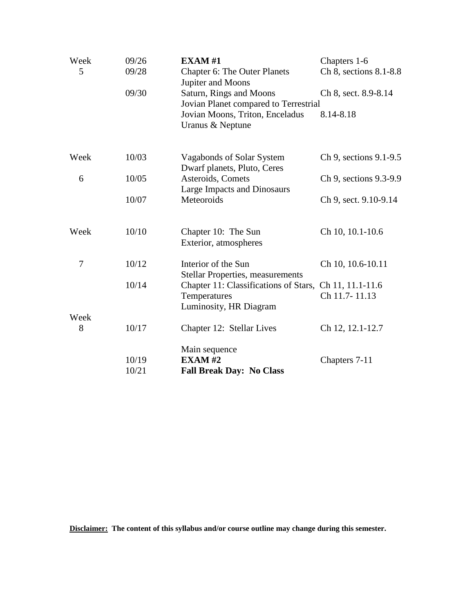| Week | 09/26 | <b>EXAM#1</b>                                                                                    | Chapters 1-6                  |
|------|-------|--------------------------------------------------------------------------------------------------|-------------------------------|
| 5    | 09/28 | <b>Chapter 6: The Outer Planets</b><br>Jupiter and Moons                                         | Ch $8$ , sections $8.1 - 8.8$ |
|      | 09/30 | Saturn, Rings and Moons<br>Jovian Planet compared to Terrestrial                                 | Ch 8, sect. 8.9-8.14          |
|      |       | Jovian Moons, Triton, Enceladus<br>Uranus & Neptune                                              | 8.14-8.18                     |
| Week | 10/03 | Vagabonds of Solar System<br>Dwarf planets, Pluto, Ceres                                         | Ch 9, sections 9.1-9.5        |
| 6    | 10/05 | Asteroids, Comets<br>Large Impacts and Dinosaurs                                                 | Ch 9, sections 9.3-9.9        |
|      | 10/07 | Meteoroids                                                                                       | Ch 9, sect. 9.10-9.14         |
| Week | 10/10 | Chapter 10: The Sun<br>Exterior, atmospheres                                                     | Ch 10, 10.1-10.6              |
| 7    | 10/12 | Interior of the Sun<br><b>Stellar Properties, measurements</b>                                   | Ch 10, 10.6-10.11             |
|      | 10/14 | Chapter 11: Classifications of Stars, Ch 11, 11.1-11.6<br>Temperatures<br>Luminosity, HR Diagram | Ch 11.7-11.13                 |
| Week |       |                                                                                                  |                               |
| 8    | 10/17 | Chapter 12: Stellar Lives                                                                        | Ch 12, 12.1-12.7              |
|      |       | Main sequence                                                                                    |                               |
|      | 10/19 | $EXAMPLEXAM$ #2                                                                                  | Chapters 7-11                 |
|      | 10/21 | <b>Fall Break Day: No Class</b>                                                                  |                               |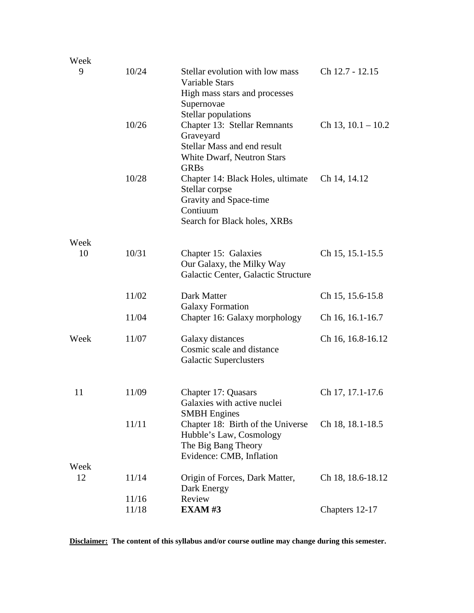| Week |                |                                                                                                                                |                      |
|------|----------------|--------------------------------------------------------------------------------------------------------------------------------|----------------------|
| 9    | 10/24          | Stellar evolution with low mass<br><b>Variable Stars</b><br>High mass stars and processes<br>Supernovae<br>Stellar populations | Ch 12.7 - 12.15      |
|      | 10/26          | <b>Chapter 13: Stellar Remnants</b><br>Graveyard<br>Stellar Mass and end result<br>White Dwarf, Neutron Stars<br><b>GRBs</b>   | Ch 13, $10.1 - 10.2$ |
|      | 10/28          | Chapter 14: Black Holes, ultimate<br>Stellar corpse<br>Gravity and Space-time<br>Contiuum<br>Search for Black holes, XRBs      | Ch 14, 14.12         |
| Week |                |                                                                                                                                |                      |
| 10   | 10/31          | Chapter 15: Galaxies<br>Our Galaxy, the Milky Way<br>Galactic Center, Galactic Structure                                       | Ch 15, 15.1-15.5     |
|      | 11/02          | Dark Matter<br><b>Galaxy Formation</b>                                                                                         | Ch 15, 15.6-15.8     |
|      | 11/04          | Chapter 16: Galaxy morphology                                                                                                  | Ch 16, 16.1-16.7     |
| Week | 11/07          | Galaxy distances<br>Cosmic scale and distance<br><b>Galactic Superclusters</b>                                                 | Ch 16, 16.8-16.12    |
| 11   | 11/09          | Chapter 17: Quasars<br>Galaxies with active nuclei<br><b>SMBH</b> Engines                                                      | Ch 17, 17.1-17.6     |
|      | 11/11          | Chapter 18: Birth of the Universe<br>Hubble's Law, Cosmology<br>The Big Bang Theory<br>Evidence: CMB, Inflation                | Ch 18, 18.1-18.5     |
| Week |                |                                                                                                                                |                      |
| 12   | 11/14          | Origin of Forces, Dark Matter,<br>Dark Energy                                                                                  | Ch 18, 18.6-18.12    |
|      | 11/16<br>11/18 | Review<br><b>EXAM#3</b>                                                                                                        | Chapters 12-17       |